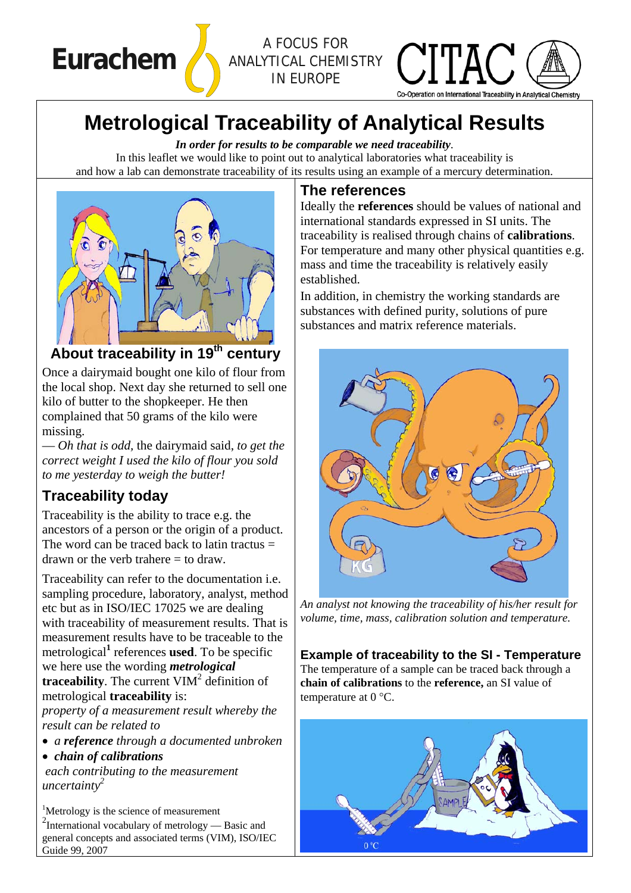**Eurachem** *A FOCUS FOR ANALYTICAL CHEMISTRY IN EUROPE*



# **Metrological Traceability of Analytical Results**

*In order for results to be comparable we need traceability*. In this leaflet we would like to point out to analytical laboratories what traceability is and how a lab can demonstrate traceability of its results using an example of a mercury determination.



# **About traceability in 19th century**

Once a dairymaid bought one kilo of flour from the local shop. Next day she returned to sell one kilo of butter to the shopkeeper. He then complained that 50 grams of the kilo were missing.

— *Oh that is odd,* the dairymaid said, *to get the correct weight I used the kilo of flour you sold to me yesterday to weigh the butter!*

### **Traceability today**

Traceability is the ability to trace e.g. the ancestors of a person or the origin of a product. The word can be traced back to latin tractus  $=$ drawn or the verb trahere  $=$  to draw.

Traceability can refer to the documentation i.e. sampling procedure, laboratory, analyst, method etc but as in ISO/IEC 17025 we are dealing with traceability of measurement results. That is measurement results have to be traceable to the metrological**<sup>1</sup>** references **used**. To be specific we here use the wording *metrological* **traceability**. The current  $VIM<sup>2</sup>$  definition of metrological **traceability** is:

*property of a measurement result whereby the result can be related to* 

• *a reference through a documented unbroken* 

• *chain of calibrations* 

 *each contributing to the measurement uncertainty2* 

<sup>1</sup>Metrology is the science of measurement <sup>2</sup>International vocabulary of metrology — Basic and general concepts and associated terms (VIM), ISO/IEC Guide 99, 2007

#### **The references**

Ideally the **references** should be values of national and international standards expressed in SI units. The traceability is realised through chains of **calibrations**. For temperature and many other physical quantities e.g. mass and time the traceability is relatively easily established.

In addition, in chemistry the working standards are substances with defined purity, solutions of pure substances and matrix reference materials.



*An analyst not knowing the traceability of his/her result for volume, time, mass, calibration solution and temperature.* 

#### **Example of traceability to the SI - Temperature**

The temperature of a sample can be traced back through a **chain of calibrations** to the **reference,** an SI value of temperature at 0 °C.